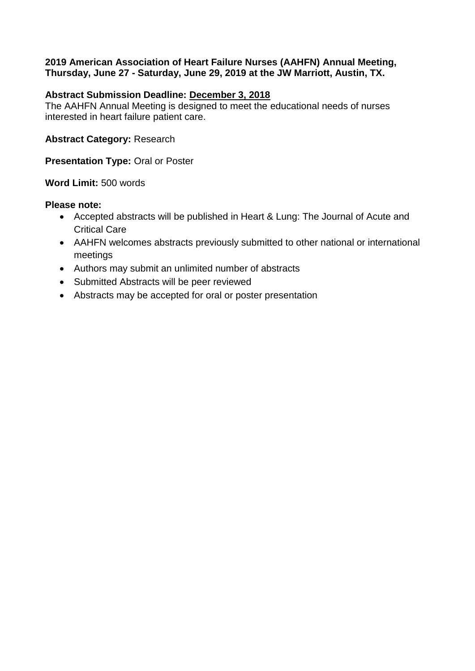## **2019 American Association of Heart Failure Nurses (AAHFN) Annual Meeting, Thursday, June 27 - Saturday, June 29, 2019 at the JW Marriott, Austin, TX.**

## **Abstract Submission Deadline: December 3, 2018**

The AAHFN Annual Meeting is designed to meet the educational needs of nurses interested in heart failure patient care.

**Abstract Category:** Research

**Presentation Type: Oral or Poster** 

**Word Limit:** 500 words

## **Please note:**

- Accepted abstracts will be published in Heart & Lung: The Journal of Acute and Critical Care
- AAHFN welcomes abstracts previously submitted to other national or international meetings
- Authors may submit an unlimited number of abstracts
- Submitted Abstracts will be peer reviewed
- Abstracts may be accepted for oral or poster presentation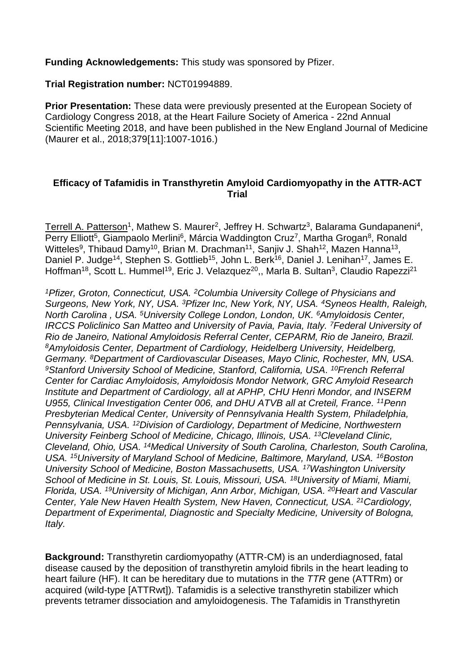**Funding Acknowledgements:** This study was sponsored by Pfizer.

**Trial Registration number:** NCT01994889.

**Prior Presentation:** These data were previously presented at the European Society of Cardiology Congress 2018, at the Heart Failure Society of America - 22nd Annual Scientific Meeting 2018, and have been published in the New England Journal of Medicine (Maurer et al., 2018;379[11]:1007-1016.)

## **Efficacy of Tafamidis in Transthyretin Amyloid Cardiomyopathy in the ATTR-ACT Trial**

Terrell A. Patterson<sup>1</sup>, Mathew S. Maurer<sup>2</sup>, Jeffrey H. Schwartz<sup>3</sup>, Balarama Gundapaneni<sup>4</sup>, Perry Elliott<sup>5</sup>, Giampaolo Merlini<sup>6</sup>, Márcia Waddington Cruz<sup>7</sup>, Martha Grogan<sup>8</sup>, Ronald Witteles<sup>9</sup>, Thibaud Damy<sup>10</sup>, Brian M. Drachman<sup>11</sup>, Sanjiv J. Shah<sup>12</sup>, Mazen Hanna<sup>13</sup>, Daniel P. Judge<sup>14</sup>, Stephen S. Gottlieb<sup>15</sup>, John L. Berk<sup>16</sup>, Daniel J. Lenihan<sup>17</sup>, James E. Hoffman<sup>18</sup>, Scott L. Hummel<sup>19</sup>, Eric J. Velazquez<sup>20</sup>,, Marla B. Sultan<sup>3</sup>, Claudio Rapezzi<sup>21</sup>

*<sup>1</sup>Pfizer, Groton, Connecticut, USA. <sup>2</sup>Columbia University College of Physicians and Surgeons, New York, NY, USA. <sup>3</sup>Pfizer Inc, New York, NY, USA. <sup>4</sup>Syneos Health, Raleigh, North Carolina , USA. <sup>5</sup>University College London, London, UK. <sup>6</sup>Amyloidosis Center, IRCCS Policlinico San Matteo and University of Pavia, Pavia, Italy. <sup>7</sup>Federal University of Rio de Janeiro, National Amyloidosis Referral Center, CEPARM, Rio de Janeiro, Brazil. <sup>8</sup>Amyloidosis Center, Department of Cardiology, Heidelberg University, Heidelberg, Germany. <sup>8</sup>Department of Cardiovascular Diseases, Mayo Clinic, Rochester, MN, USA.*  <sup>9</sup>*Stanford University School of Medicine, Stanford, California, USA. <sup>10</sup>French Referral Center for Cardiac Amyloidosis, Amyloidosis Mondor Network, GRC Amyloid Research Institute and Department of Cardiology, all at APHP, CHU Henri Mondor, and INSERM*  U955, Clinical Investigation Center 006, and DHU ATVB all at Creteil, France. <sup>11</sup> Penn *Presbyterian Medical Center, University of Pennsylvania Health System, Philadelphia, Pennsylvania, USA. <sup>12</sup>Division of Cardiology, Department of Medicine, Northwestern University Feinberg School of Medicine, Chicago, Illinois, USA. <sup>13</sup>Cleveland Clinic, Cleveland, Ohio, USA. <sup>14</sup>Medical University of South Carolina, Charleston, South Carolina,*  USA. <sup>15</sup>*University of Maryland School of Medicine, Baltimore, Maryland, USA.* <sup>16</sup>*Boston University School of Medicine, Boston Massachusetts, USA. <sup>17</sup>Washington University School of Medicine in St. Louis, St. Louis, Missouri, USA. <sup>18</sup>University of Miami, Miami, Florida, USA. <sup>19</sup>University of Michigan, Ann Arbor, Michigan, USA. <sup>20</sup>Heart and Vascular Center, Yale New Haven Health System, New Haven, Connecticut, USA. <sup>21</sup>[Cardiology,](http://www.aofoundation.org/)  [Department](http://www.aofoundation.org/) of Experimental, Diagnostic and Specialty Medicine, University of Bologna, Italy.*

**Background:** Transthyretin cardiomyopathy (ATTR-CM) is an underdiagnosed, fatal disease caused by the deposition of transthyretin amyloid fibrils in the heart leading to heart failure (HF). It can be hereditary due to mutations in the *TTR* gene (ATTRm) or acquired (wild-type [ATTRwt]). Tafamidis is a selective transthyretin stabilizer which prevents tetramer dissociation and amyloidogenesis. The Tafamidis in Transthyretin